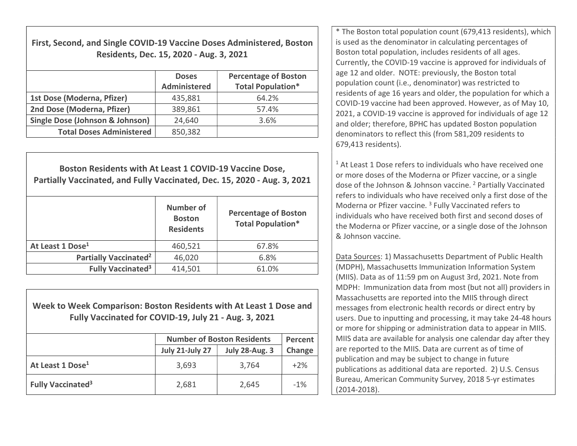| First, Second, and Single COVID-19 Vaccine Doses Administered, Boston |
|-----------------------------------------------------------------------|
| Residents, Dec. 15, 2020 - Aug. 3, 2021                               |

|                                            | <b>Doses</b><br><b>Administered</b> | <b>Percentage of Boston</b><br><b>Total Population*</b> |
|--------------------------------------------|-------------------------------------|---------------------------------------------------------|
| 1st Dose (Moderna, Pfizer)                 | 435,881                             | 64.2%                                                   |
| 2nd Dose (Moderna, Pfizer)                 | 389,861                             | 57.4%                                                   |
| <b>Single Dose (Johnson &amp; Johnson)</b> | 24,640                              | 3.6%                                                    |
| <b>Total Doses Administered</b>            | 850,382                             |                                                         |

Boston Residents with At Least 1 COVID-19 Vaccine Dose, Partially Vaccinated, and Fully Vaccinated, Dec. 15, 2020 - Aug. 3, 2021

|                                     | <b>Number of</b><br><b>Boston</b><br><b>Residents</b> | <b>Percentage of Boston</b><br><b>Total Population*</b> |
|-------------------------------------|-------------------------------------------------------|---------------------------------------------------------|
| At Least 1 Dose <sup>1</sup>        | 460,521                                               | 67.8%                                                   |
| Partially Vaccinated <sup>2</sup>   | 46,020                                                | 6.8%                                                    |
| <b>Fully Vaccinated<sup>3</sup></b> | 414,501                                               | 61.0%                                                   |

Week to Week Comparison: Boston Residents with At Least 1 Dose and Fully Vaccinated for COVID-19, July 21 - Aug. 3, 2021

|                                     | <b>Number of Boston Residents</b> | Percent               |        |
|-------------------------------------|-----------------------------------|-----------------------|--------|
|                                     | <b>July 21-July 27</b>            | <b>July 28-Aug. 3</b> | Change |
| At Least 1 Dose <sup>1</sup>        | 3,693                             | 3,764                 | $+2%$  |
| <b>Fully Vaccinated<sup>3</sup></b> | 2,681                             | 2,645                 | $-1\%$ |

\* The Boston total population count (679,413 residents), which is used as the denominator in calculating percentages of Boston total population, includes residents of all ages. Currently, the COVID-19 vaccine is approved for individuals of age 12 and older. NOTE: previously, the Boston total population count (i.e., denominator) was restricted to residents of age 16 years and older, the population for which a COVID-19 vaccine had been approved. However, as of May 10, 2021, a COVID-19 vaccine is approved for individuals of age 12 and older; therefore, BPHC has updated Boston population denominators to reflect this (from 581,209 residents to 679,413 residents).

<sup>1</sup> At Least 1 Dose refers to individuals who have received one or more doses of the Moderna or Pfizer vaccine, or a single dose of the Johnson & Johnson vaccine. <sup>2</sup> Partially Vaccinated refers to individuals who have received only a first dose of the Moderna or Pfizer vaccine.<sup>3</sup> Fully Vaccinated refers to individuals who have received both first and second doses of the Moderna or Pfizer vaccine, or a single dose of the Johnson & Johnson vaccine.

Data Sources: 1) Massachusetts Department of Public Health (MDPH), Massachusetts Immunization Information System (MIIS). Data as of 11:59 pm on August 3rd, 2021. Note from MDPH: Immunization data from most (but not all) providers in Massachusetts are reported into the MIIS through direct messages from electronic health records or direct entry by users. Due to inputting and processing, it may take 24-48 hours or more for shipping or administration data to appear in MIIS. MIIS data are available for analysis one calendar day after they are reported to the MIIS. Data are current as of time of publication and may be subject to change in future publications as additional data are reported. 2) U.S. Census Bureau, American Community Survey, 2018 5-yr estimates (2014-2018).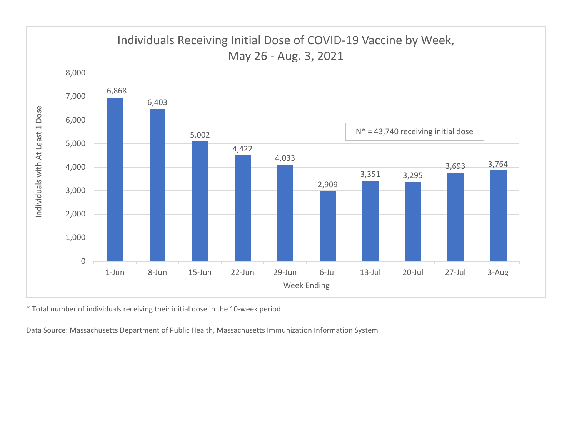

\* Total number of individuals receiving their initial dose in the 10-week period.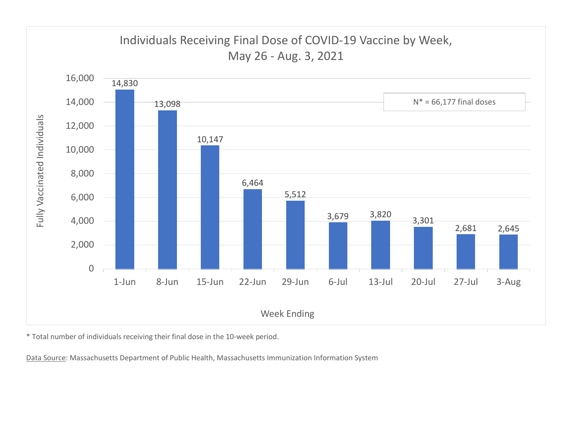

\* Total number of individuals receiving their final dose in the 10-week period.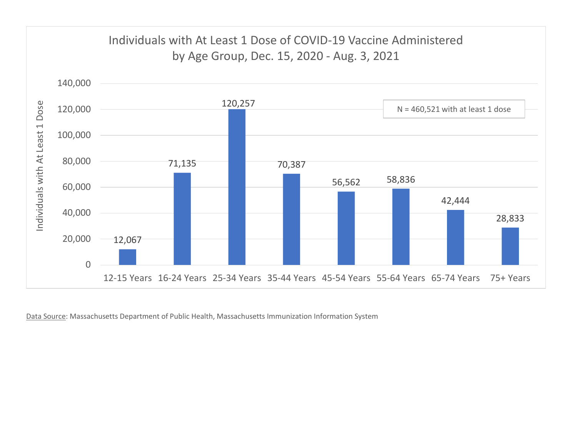

Data Source: Massachusetts Department of Public Health, Massachusetts Immunization Information System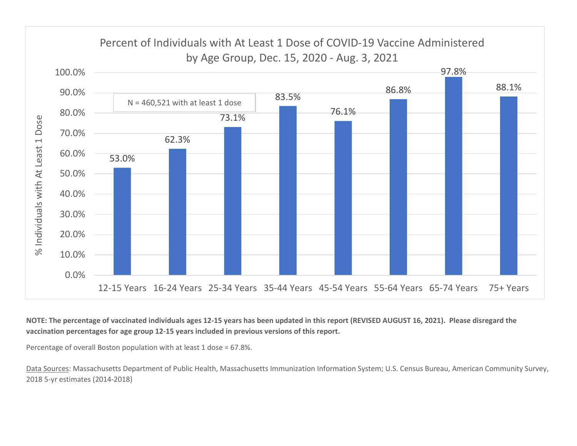

NOTE: The percentage of vaccinated individuals ages 12-15 years has been updated in this report (REVISED AUGUST 16, 2021). Please disregard the vaccination percentages for age group 12-15 years included in previous versions of this report.

Percentage of overall Boston population with at least 1 dose = 67.8%.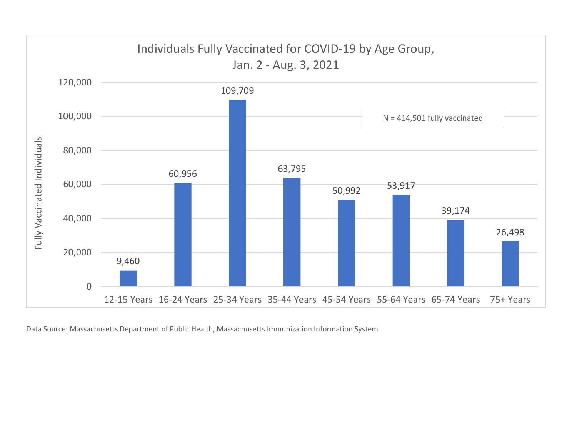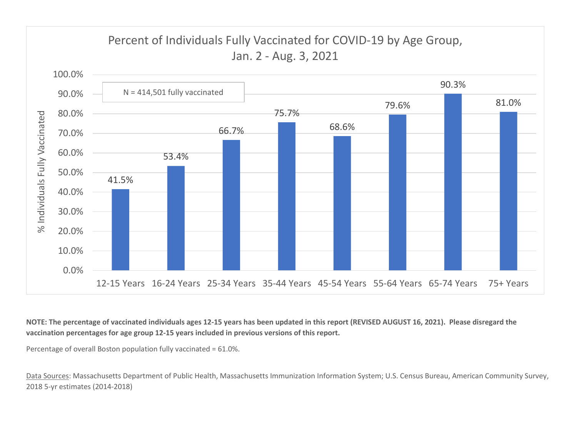

NOTE: The percentage of vaccinated individuals ages 12-15 years has been updated in this report (REVISED AUGUST 16, 2021). Please disregard the vaccination percentages for age group 12-15 years included in previous versions of this report.

Percentage of overall Boston population fully vaccinated = 61.0%.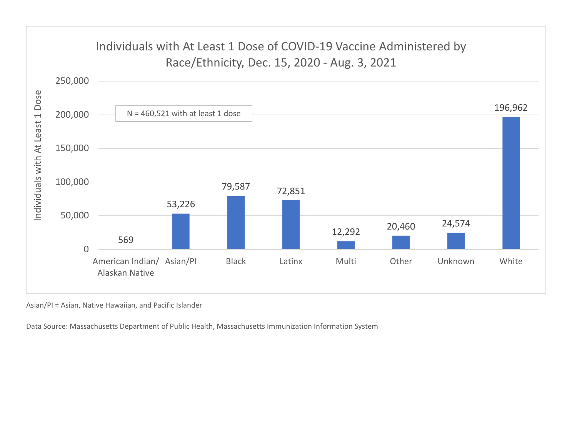

Asian/PI = Asian, Native Hawaiian, and Pacific Islander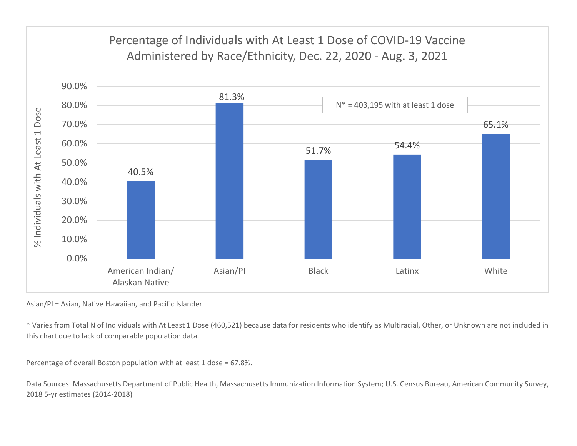

Asian/PI = Asian, Native Hawaiian, and Pacific Islander

\* Varies from Total N of Individuals with At Least 1 Dose (460,521) because data for residents who identify as Multiracial, Other, or Unknown are not included in this chart due to lack of comparable population data.

Percentage of overall Boston population with at least 1 dose = 67.8%.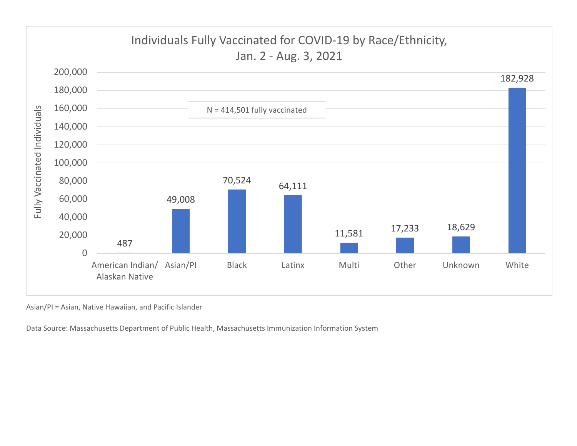

Asian/PI = Asian, Native Hawaiian, and Pacific Islander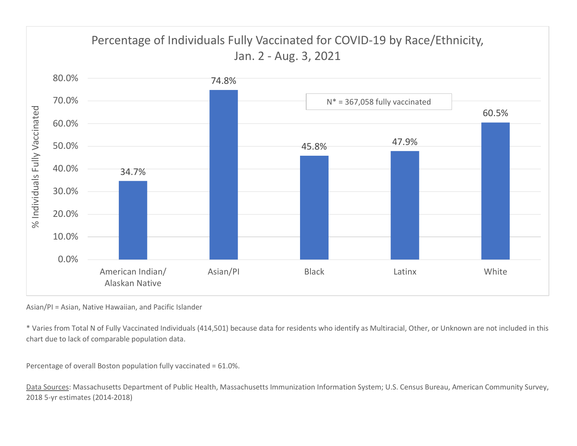

Asian/PI = Asian, Native Hawaiian, and Pacific Islander

\* Varies from Total N of Fully Vaccinated Individuals (414,501) because data for residents who identify as Multiracial, Other, or Unknown are not included in this chart due to lack of comparable population data.

Percentage of overall Boston population fully vaccinated = 61.0%.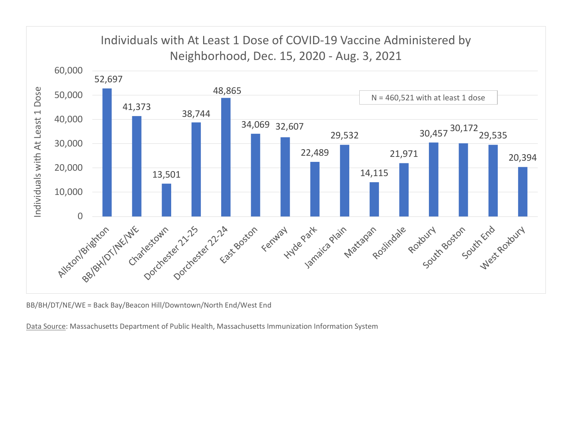

BB/BH/DT/NE/WE = Back Bay/Beacon Hill/Downtown/North End/West End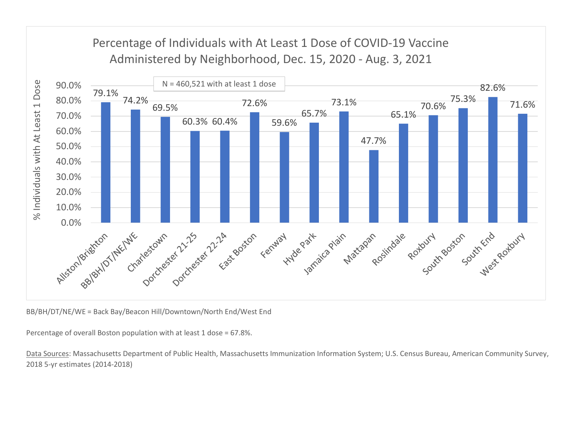

BB/BH/DT/NE/WE = Back Bay/Beacon Hill/Downtown/North End/West End

Percentage of overall Boston population with at least 1 dose = 67.8%.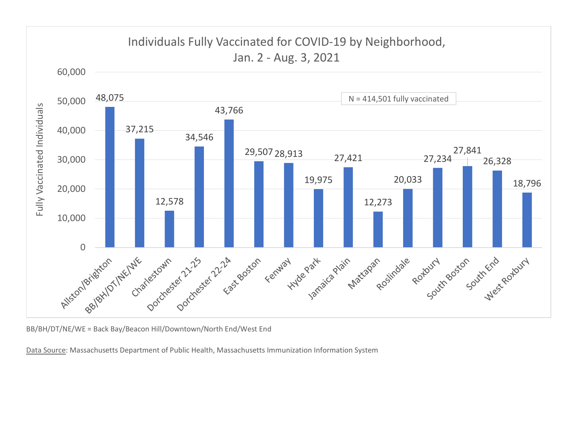

BB/BH/DT/NE/WE = Back Bay/Beacon Hill/Downtown/North End/West End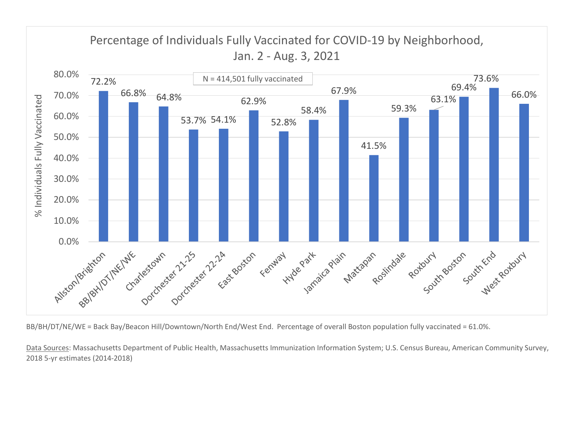

BB/BH/DT/NE/WE = Back Bay/Beacon Hill/Downtown/North End/West End. Percentage of overall Boston population fully vaccinated = 61.0%.